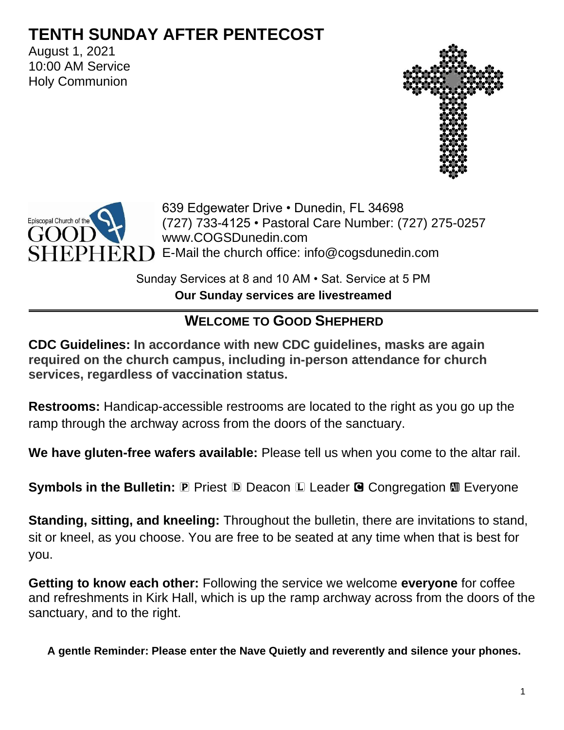# **TENTH SUNDAY AFTER PENTECOST**

August 1, 2021 10:00 AM Service Holy Communion





639 Edgewater Drive • Dunedin, FL 34698 (727) 733-4125 • Pastoral Care Number: (727) 275-0257 www.COGSDunedin.com  $PHER$   $\Box$  E-Mail the church office: info@cogsdunedin.com

> Sunday Services at 8 and 10 AM • Sat. Service at 5 PM **Our Sunday services are livestreamed**

# **WELCOME TO GOOD SHEPHERD**

**CDC Guidelines: In accordance with new CDC guidelines, masks are again required on the church campus, including in-person attendance for church services, regardless of vaccination status.**

**Restrooms:** Handicap-accessible restrooms are located to the right as you go up the ramp through the archway across from the doors of the sanctuary.

**We have gluten-free wafers available:** Please tell us when you come to the altar rail.

**Symbols in the Bulletin: <b>P** Priest **D** Deacon **L** Leader **G** Congregation **M** Everyone

**Standing, sitting, and kneeling:** Throughout the bulletin, there are invitations to stand, sit or kneel, as you choose. You are free to be seated at any time when that is best for you.

**Getting to know each other:** Following the service we welcome **everyone** for coffee and refreshments in Kirk Hall, which is up the ramp archway across from the doors of the sanctuary, and to the right.

**A gentle Reminder: Please enter the Nave Quietly and reverently and silence your phones.**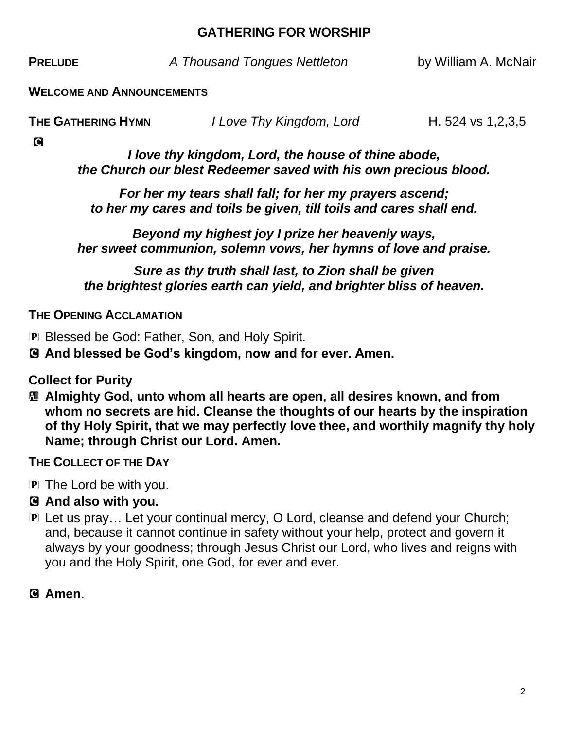#### **GATHERING FOR WORSHIP**

**PRELUDE** *A Thousand Tongues Nettleton* by William A. McNair

**WELCOME AND ANNOUNCEMENTS**

| THE GATHERING HYMN | I Love Thy Kingdom, Lord | H. 524 vs 1,2,3,5 |
|--------------------|--------------------------|-------------------|
|                    |                          |                   |

C

*I love thy kingdom, Lord, the house of thine abode, the Church our blest Redeemer saved with his own precious blood.*

*For her my tears shall fall; for her my prayers ascend; to her my cares and toils be given, till toils and cares shall end.*

*Beyond my highest joy I prize her heavenly ways, her sweet communion, solemn vows, her hymns of love and praise.*

*Sure as thy truth shall last, to Zion shall be given the brightest glories earth can yield, and brighter bliss of heaven.*

**THE OPENING ACCLAMATION**

P Blessed be God: Father, Son, and Holy Spirit.

C **And blessed be God's kingdom, now and for ever. Amen.**

**Collect for Purity**

a **Almighty God, unto whom all hearts are open, all desires known, and from whom no secrets are hid. Cleanse the thoughts of our hearts by the inspiration of thy Holy Spirit, that we may perfectly love thee, and worthily magnify thy holy Name; through Christ our Lord. Amen.**

**THE COLLECT OF THE DAY**

P The Lord be with you.

#### C **And also with you.**

P Let us pray… Let your continual mercy, O Lord, cleanse and defend your Church; and, because it cannot continue in safety without your help, protect and govern it always by your goodness; through Jesus Christ our Lord, who lives and reigns with you and the Holy Spirit, one God, for ever and ever.

C **Amen**.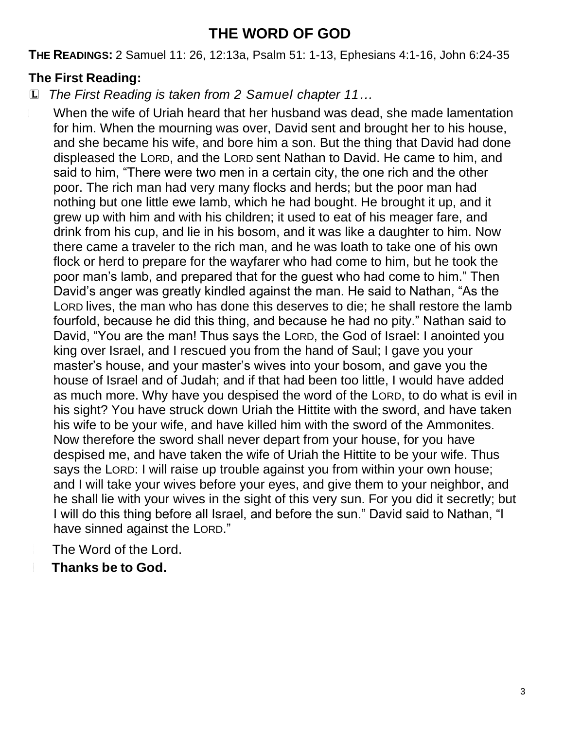# **THE WORD OF GOD**

**THE READINGS:** 2 Samuel 11: 26, 12:13a, Psalm 51: 1-13, Ephesians 4:1-16, John 6:24-35

# **The First Reading:**

L *The First Reading is taken from 2 Samuel chapter 11…*

When the wife of Uriah heard that her husband was dead, she made lamentation for him. When the mourning was over, David sent and brought her to his house, and she became his wife, and bore him a son. But the thing that David had done displeased the LORD, and the LORD sent Nathan to David. He came to him, and said to him, "There were two men in a certain city, the one rich and the other poor. The rich man had very many flocks and herds; but the poor man had nothing but one little ewe lamb, which he had bought. He brought it up, and it grew up with him and with his children; it used to eat of his meager fare, and drink from his cup, and lie in his bosom, and it was like a daughter to him. Now there came a traveler to the rich man, and he was loath to take one of his own flock or herd to prepare for the wayfarer who had come to him, but he took the poor man's lamb, and prepared that for the guest who had come to him." Then David's anger was greatly kindled against the man. He said to Nathan, "As the LORD lives, the man who has done this deserves to die; he shall restore the lamb fourfold, because he did this thing, and because he had no pity." Nathan said to David, "You are the man! Thus says the LORD, the God of Israel: I anointed you king over Israel, and I rescued you from the hand of Saul; I gave you your master's house, and your master's wives into your bosom, and gave you the house of Israel and of Judah; and if that had been too little, I would have added as much more. Why have you despised the word of the LORD, to do what is evil in his sight? You have struck down Uriah the Hittite with the sword, and have taken his wife to be your wife, and have killed him with the sword of the Ammonites. Now therefore the sword shall never depart from your house, for you have despised me, and have taken the wife of Uriah the Hittite to be your wife. Thus says the LORD: I will raise up trouble against you from within your own house; and I will take your wives before your eyes, and give them to your neighbor, and he shall lie with your wives in the sight of this very sun. For you did it secretly; but I will do this thing before all Israel, and before the sun." David said to Nathan, "I have sinned against the LORD."

The Word of the Lord.

# <sup>C</sup> **Thanks be to God.**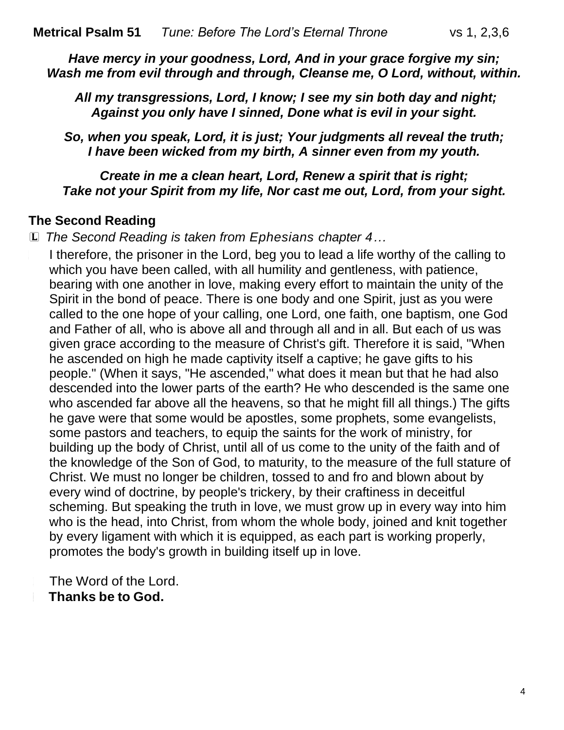*Have mercy in your goodness, Lord, And in your grace forgive my sin; Wash me from evil through and through, Cleanse me, O Lord, without, within.*

*All my transgressions, Lord, I know; I see my sin both day and night; Against you only have I sinned, Done what is evil in your sight.*

*So, when you speak, Lord, it is just; Your judgments all reveal the truth; I have been wicked from my birth, A sinner even from my youth.*

*Create in me a clean heart, Lord, Renew a spirit that is right; Take not your Spirit from my life, Nor cast me out, Lord, from your sight.*

#### **The Second Reading**

L *The Second Reading is taken from Ephesians chapter 4…*

<sup>L</sup> I therefore, the prisoner in the Lord, beg you to lead a life worthy of the calling to which you have been called, with all humility and gentleness, with patience, bearing with one another in love, making every effort to maintain the unity of the Spirit in the bond of peace. There is one body and one Spirit, just as you were called to the one hope of your calling, one Lord, one faith, one baptism, one God and Father of all, who is above all and through all and in all. But each of us was given grace according to the measure of Christ's gift. Therefore it is said, "When he ascended on high he made captivity itself a captive; he gave gifts to his people." (When it says, "He ascended," what does it mean but that he had also descended into the lower parts of the earth? He who descended is the same one who ascended far above all the heavens, so that he might fill all things.) The gifts he gave were that some would be apostles, some prophets, some evangelists, some pastors and teachers, to equip the saints for the work of ministry, for building up the body of Christ, until all of us come to the unity of the faith and of the knowledge of the Son of God, to maturity, to the measure of the full stature of Christ. We must no longer be children, tossed to and fro and blown about by every wind of doctrine, by people's trickery, by their craftiness in deceitful scheming. But speaking the truth in love, we must grow up in every way into him who is the head, into Christ, from whom the whole body, joined and knit together by every ligament with which it is equipped, as each part is working properly, promotes the body's growth in building itself up in love.

The Word of the Lord. <sup>C</sup> **Thanks be to God.**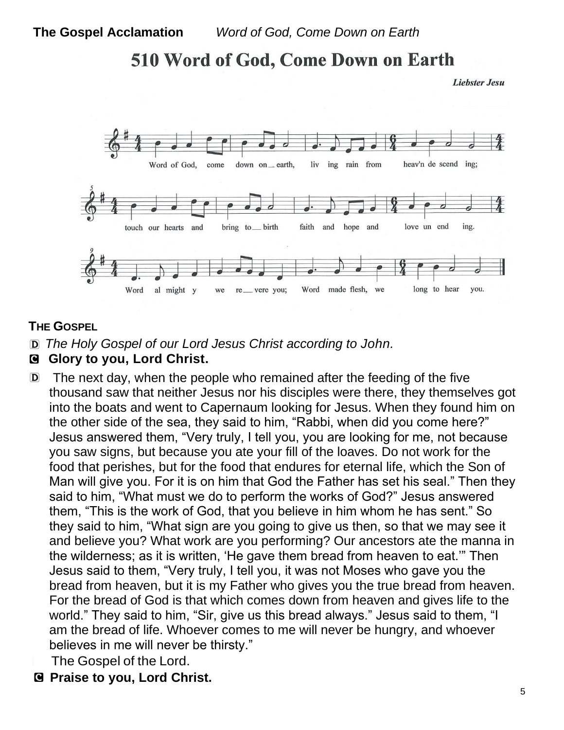# 510 Word of God, Come Down on Earth

**Liebster Jesu** 



#### **THE GOSPEL**

- D *The Holy Gospel of our Lord Jesus Christ according to John.*
- C **Glory to you, Lord Christ.**
- D The next day, when the people who remained after the feeding of the five thousand saw that neither Jesus nor his disciples were there, they themselves got into the boats and went to Capernaum looking for Jesus. When they found him on the other side of the sea, they said to him, "Rabbi, when did you come here?" Jesus answered them, "Very truly, I tell you, you are looking for me, not because you saw signs, but because you ate your fill of the loaves. Do not work for the food that perishes, but for the food that endures for eternal life, which the Son of Man will give you. For it is on him that God the Father has set his seal." Then they said to him, "What must we do to perform the works of God?" Jesus answered them, "This is the work of God, that you believe in him whom he has sent." So they said to him, "What sign are you going to give us then, so that we may see it and believe you? What work are you performing? Our ancestors ate the manna in the wilderness; as it is written, 'He gave them bread from heaven to eat.'" Then Jesus said to them, "Very truly, I tell you, it was not Moses who gave you the bread from heaven, but it is my Father who gives you the true bread from heaven. For the bread of God is that which comes down from heaven and gives life to the world." They said to him, "Sir, give us this bread always." Jesus said to them, "I am the bread of life. Whoever comes to me will never be hungry, and whoever believes in me will never be thirsty."
	- The Gospel of the Lord.
- C **Praise to you, Lord Christ.**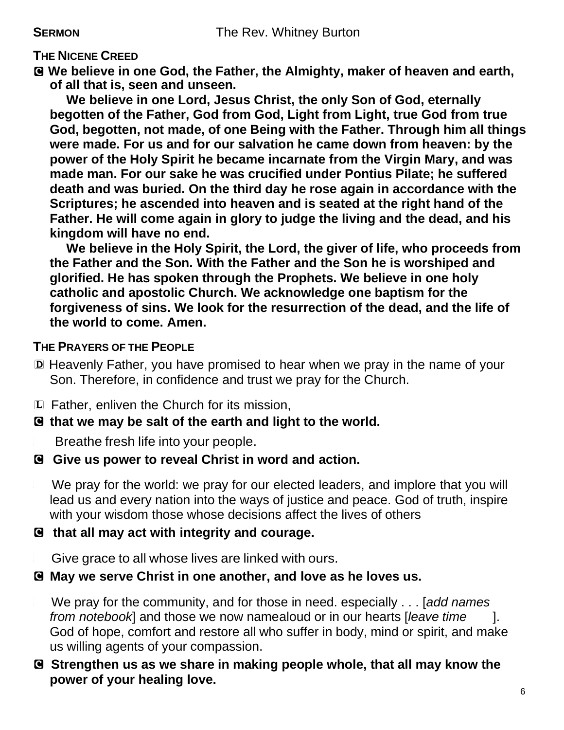#### **THE NICENE CREED**

C **We believe in one God, the Father, the Almighty, maker of heaven and earth, of all that is, seen and unseen.**

**We believe in one Lord, Jesus Christ, the only Son of God, eternally begotten of the Father, God from God, Light from Light, true God from true God, begotten, not made, of one Being with the Father. Through him all things were made. For us and for our salvation he came down from heaven: by the power of the Holy Spirit he became incarnate from the Virgin Mary, and was made man. For our sake he was crucified under Pontius Pilate; he suffered death and was buried. On the third day he rose again in accordance with the Scriptures; he ascended into heaven and is seated at the right hand of the Father. He will come again in glory to judge the living and the dead, and his kingdom will have no end.**

**We believe in the Holy Spirit, the Lord, the giver of life, who proceeds from the Father and the Son. With the Father and the Son he is worshiped and glorified. He has spoken through the Prophets. We believe in one holy catholic and apostolic Church. We acknowledge one baptism for the forgiveness of sins. We look for the resurrection of the dead, and the life of the world to come. Amen.**

#### **THE PRAYERS OF THE PEOPLE**

D Heavenly Father, you have promised to hear when we pray in the name of your Son. Therefore, in confidence and trust we pray for the Church.

L Father, enliven the Church for its mission,

#### C **that we may be salt of the earth and light to the world.**

Breathe fresh life into your people.

#### C **Give us power to reveal Christ in word and action.**

We pray for the world: we pray for our elected leaders, and implore that you will lead us and every nation into the ways of justice and peace. God of truth, inspire with your wisdom those whose decisions affect the lives of others

#### C **that all may act with integrity and courage.**

Give grace to all whose lives are linked with ours.

#### C **May we serve Christ in one another, and love as he loves us.**

<sup>L</sup> We pray for the community, and for those in need. especially . . . [*add names from notebook*] and those we now namealoud or in our hearts [*leave time* ]. God of hope, comfort and restore all who suffer in body, mind or spirit, and make us willing agents of your compassion.

#### C **Strengthen us as we share in making people whole, that all may know the power of your healing love.**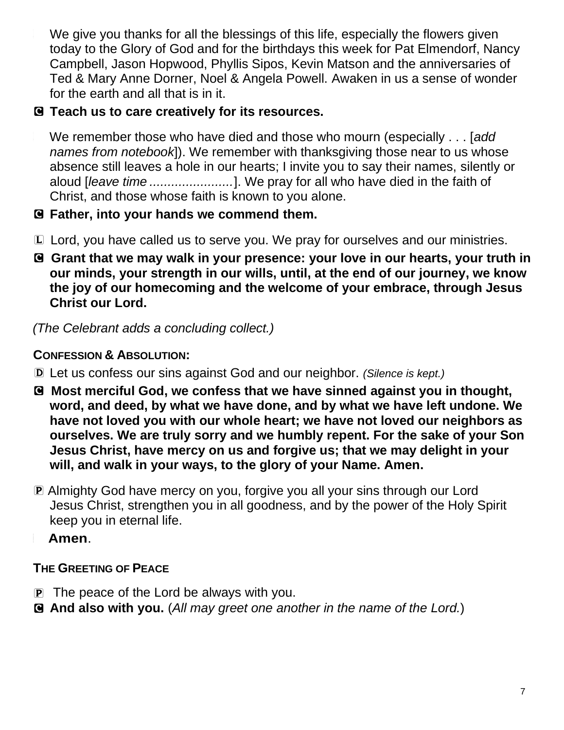We give you thanks for all the blessings of this life, especially the flowers given today to the Glory of God and for the birthdays this week for Pat Elmendorf, Nancy Campbell, Jason Hopwood, Phyllis Sipos, Kevin Matson and the anniversaries of Ted & Mary Anne Dorner, Noel & Angela Powell. Awaken in us a sense of wonder for the earth and all that is in it.

## C **Teach us to care creatively for its resources.**

<sup>L</sup> We remember those who have died and those who mourn (especially . . . [*add names from notebook*]). We remember with thanksgiving those near to us whose absence still leaves a hole in our hearts; I invite you to say their names, silently or aloud [*leave time .......................*]. We pray for all who have died in the faith of Christ, and those whose faith is known to you alone.

- C **Father, into your hands we commend them.**
- L Lord, you have called us to serve you. We pray for ourselves and our ministries.
- C **Grant that we may walk in your presence: your love in our hearts, your truth in our minds, your strength in our wills, until, at the end of our journey, we know the joy of our homecoming and the welcome of your embrace, through Jesus Christ our Lord.**

*(The Celebrant adds a concluding collect.)* 

## **CONFESSION & ABSOLUTION:**

- D Let us confess our sins against God and our neighbor. *(Silence is kept.)*
- C **Most merciful God, we confess that we have sinned against you in thought, word, and deed, by what we have done, and by what we have left undone. We have not loved you with our whole heart; we have not loved our neighbors as ourselves. We are truly sorry and we humbly repent. For the sake of your Son Jesus Christ, have mercy on us and forgive us; that we may delight in your will, and walk in your ways, to the glory of your Name. Amen.**
- P Almighty God have mercy on you, forgive you all your sins through our Lord Jesus Christ, strengthen you in all goodness, and by the power of the Holy Spirit keep you in eternal life.
	- <sup>C</sup> **Amen**.

## **THE GREETING OF PEACE**

- $\overline{P}$  The peace of the Lord be always with you.
- C **And also with you.** (*All may greet one another in the name of the Lord.*)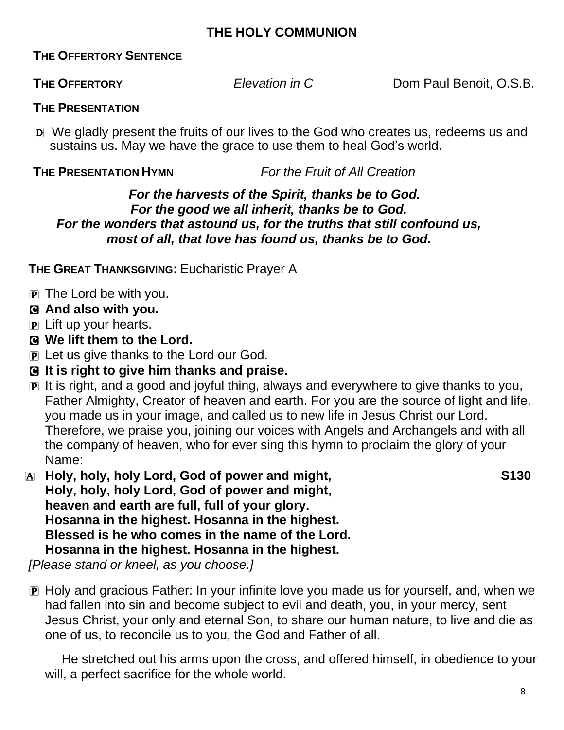#### **THE HOLY COMMUNION**

#### **THE OFFERTORY SENTENCE**

**THE OFFERTORY** *Elevation in C* Dom Paul Benoit, O.S.B.

#### **THE PRESENTATION**

D We gladly present the fruits of our lives to the God who creates us, redeems us and sustains us. May we have the grace to use them to heal God's world.

**THE PRESENTATION HYMN** *For the Fruit of All Creation*

#### *For the harvests of the Spirit, thanks be to God. For the good we all inherit, thanks be to God. For the wonders that astound us, for the truths that still confound us, most of all, that love has found us, thanks be to God.*

**THE GREAT THANKSGIVING:** Eucharistic Prayer A

- P The Lord be with you.
- C **And also with you.**
- P Lift up your hearts.
- C **We lift them to the Lord.**
- P Let us give thanks to the Lord our God.
- C **It is right to give him thanks and praise.**
- P It is right, and a good and joyful thing, always and everywhere to give thanks to you, Father Almighty, Creator of heaven and earth. For you are the source of light and life, you made us in your image, and called us to new life in Jesus Christ our Lord. Therefore, we praise you, joining our voices with Angels and Archangels and with all the company of heaven, who for ever sing this hymn to proclaim the glory of your Name:
- A **Holy, holy, holy Lord, God of power and might, S130 Holy, holy, holy Lord, God of power and might, heaven and earth are full, full of your glory. Hosanna in the highest. Hosanna in the highest. Blessed is he who comes in the name of the Lord. Hosanna in the highest. Hosanna in the highest.**

*[Please stand or kneel, as you choose.]*

P Holy and gracious Father: In your infinite love you made us for yourself, and, when we had fallen into sin and become subject to evil and death, you, in your mercy, sent Jesus Christ, your only and eternal Son, to share our human nature, to live and die as one of us, to reconcile us to you, the God and Father of all.

He stretched out his arms upon the cross, and offered himself, in obedience to your will, a perfect sacrifice for the whole world.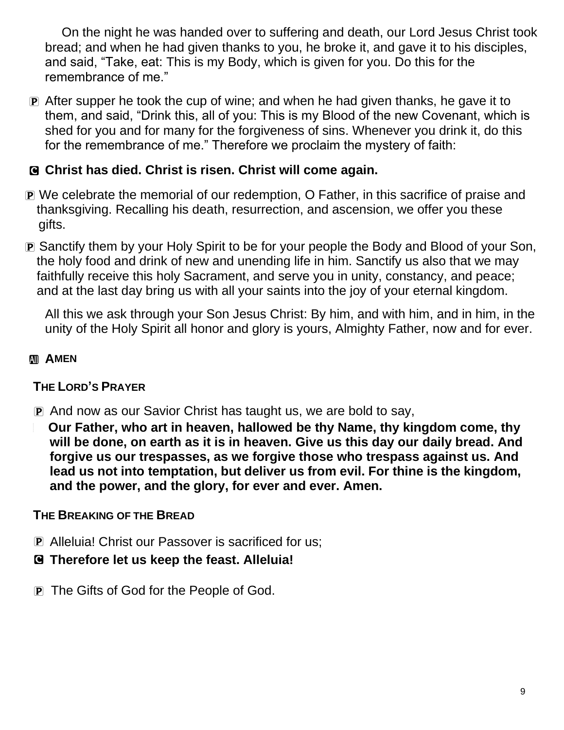On the night he was handed over to suffering and death, our Lord Jesus Christ took bread; and when he had given thanks to you, he broke it, and gave it to his disciples, and said, "Take, eat: This is my Body, which is given for you. Do this for the remembrance of me."

P After supper he took the cup of wine; and when he had given thanks, he gave it to them, and said, "Drink this, all of you: This is my Blood of the new Covenant, which is shed for you and for many for the forgiveness of sins. Whenever you drink it, do this for the remembrance of me." Therefore we proclaim the mystery of faith:

### C **Christ has died. Christ is risen. Christ will come again.**

- P We celebrate the memorial of our redemption, O Father, in this sacrifice of praise and thanksgiving. Recalling his death, resurrection, and ascension, we offer you these gifts.
- P Sanctify them by your Holy Spirit to be for your people the Body and Blood of your Son, the holy food and drink of new and unending life in him. Sanctify us also that we may faithfully receive this holy Sacrament, and serve you in unity, constancy, and peace; and at the last day bring us with all your saints into the joy of your eternal kingdom.

All this we ask through your Son Jesus Christ: By him, and with him, and in him, in the unity of the Holy Spirit all honor and glory is yours, Almighty Father, now and for ever.

#### **AMEN**

#### **THE LORD'S PRAYER**

- P And now as our Savior Christ has taught us, we are bold to say,
- <sup>a</sup> **Our Father, who art in heaven, hallowed be thy Name, thy kingdom come, thy will be done, on earth as it is in heaven. Give us this day our daily bread. And forgive us our trespasses, as we forgive those who trespass against us. And lead us not into temptation, but deliver us from evil. For thine is the kingdom, and the power, and the glory, for ever and ever. Amen.**

#### **THE BREAKING OF THE BREAD**

- P Alleluia! Christ our Passover is sacrificed for us;
- C **Therefore let us keep the feast. Alleluia!**
- P The Gifts of God for the People of God.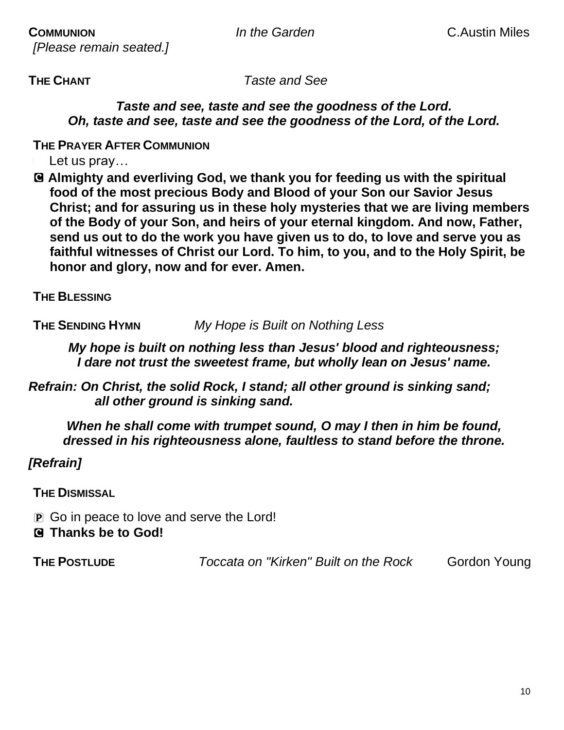*[Please remain seated.]*

**THE CHANT** *Taste and See*

*Taste and see, taste and see the goodness of the Lord. Oh, taste and see, taste and see the goodness of the Lord, of the Lord.* 

**THE PRAYER AFTER COMMUNION**

Let us pray...

C **Almighty and everliving God, we thank you for feeding us with the spiritual food of the most precious Body and Blood of your Son our Savior Jesus Christ; and for assuring us in these holy mysteries that we are living members of the Body of your Son, and heirs of your eternal kingdom. And now, Father, send us out to do the work you have given us to do, to love and serve you as faithful witnesses of Christ our Lord. To him, to you, and to the Holy Spirit, be honor and glory, now and for ever. Amen.**

**THE BLESSING**

**THE SENDING HYMN** *My Hope is Built on Nothing Less*

*My hope is built on nothing less than Jesus' blood and righteousness; I dare not trust the sweetest frame, but wholly lean on Jesus' name.*

*Refrain: On Christ, the solid Rock, I stand; all other ground is sinking sand; all other ground is sinking sand.*

*When he shall come with trumpet sound, O may I then in him be found, dressed in his righteousness alone, faultless to stand before the throne.* 

*[Refrain]*

**THE DISMISSAL**

- P Go in peace to love and serve the Lord!
- C **Thanks be to God!**

**THE POSTLUDE** *Toccata on "Kirken" Built on the Rock* Gordon Young